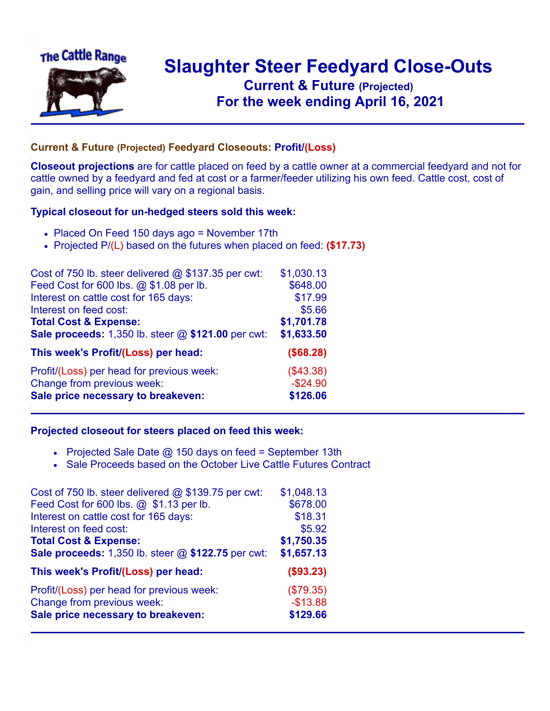

## **Slaughter Steer Feedyard Close-Outs Current & Future (Projected)** .**For the week ending April 16, 2021**

## **Current & Future (Projected) Feedyard Closeouts: Profit/(Loss)**

**Closeout projections** are for cattle placed on feed by a cattle owner at a commercial feedyard and not for cattle owned by a feedyard and fed at cost or a farmer/feeder utilizing his own feed. Cattle cost, cost of gain, and selling price will vary on a regional basis.

## **Typical closeout for un-hedged steers sold this week:**

- Placed On Feed 150 days ago = November 17th
- Projected P/(L) based on the futures when placed on feed: **(\$17.73)**

| Cost of 750 lb. steer delivered $@$ \$137.35 per cwt: | \$1,030.13 |
|-------------------------------------------------------|------------|
| Feed Cost for 600 lbs. @ \$1.08 per lb.               | \$648.00   |
| Interest on cattle cost for 165 days:                 | \$17.99    |
| Interest on feed cost:                                | \$5.66     |
| <b>Total Cost &amp; Expense:</b>                      | \$1,701.78 |
| Sale proceeds: 1,350 lb. steer @ \$121.00 per cwt:    | \$1,633.50 |
| This week's Profit/(Loss) per head:                   | (\$68.28)  |
| Profit/(Loss) per head for previous week:             | (\$43.38)  |
| Change from previous week:                            | $-$24.90$  |
| Sale price necessary to breakeven:                    | \$126.06   |

## **Projected closeout for steers placed on feed this week:**

- Projected Sale Date  $@$  150 days on feed = September 13th
- Sale Proceeds based on the October Live Cattle Futures Contract

| Cost of 750 lb. steer delivered $@$ \$139.75 per cwt: | \$1,048.13 |
|-------------------------------------------------------|------------|
| Feed Cost for 600 lbs. @ \$1.13 per lb.               | \$678.00   |
| Interest on cattle cost for 165 days:                 | \$18.31    |
| Interest on feed cost:                                | \$5.92     |
| <b>Total Cost &amp; Expense:</b>                      | \$1,750.35 |
| Sale proceeds: 1,350 lb. steer @ \$122.75 per cwt:    | \$1,657.13 |
| This week's Profit/(Loss) per head:                   | (\$93.23)  |
| Profit/(Loss) per head for previous week:             | (\$79.35)  |
| Change from previous week:                            | $-$13.88$  |
| Sale price necessary to breakeven:                    | \$129.66   |